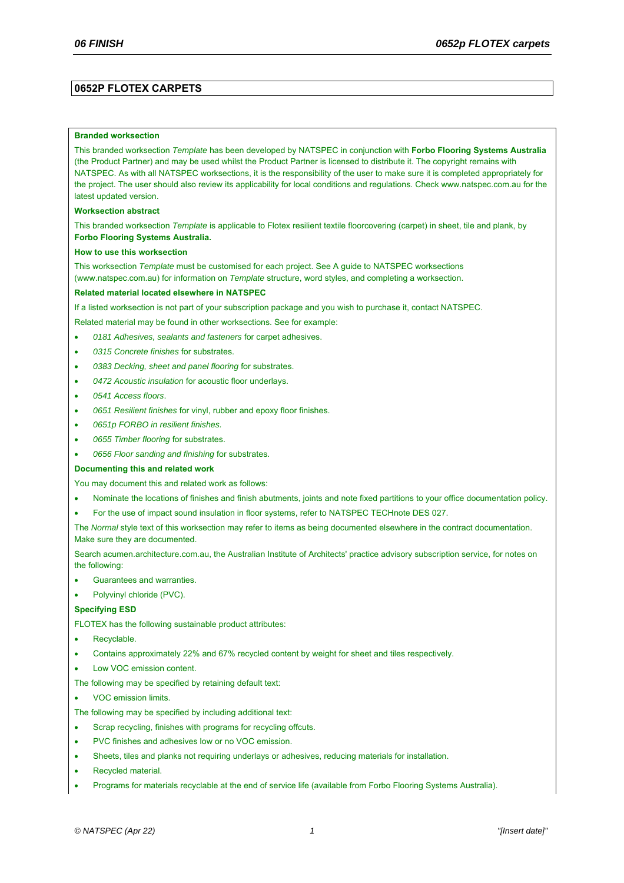### **0652P FLOTEX CARPETS**

#### **Branded worksection**

This branded worksection *Template* has been developed by NATSPEC in conjunction with **Forbo Flooring Systems Australia** (the Product Partner) and may be used whilst the Product Partner is licensed to distribute it. The copyright remains with NATSPEC. As with all NATSPEC worksections, it is the responsibility of the user to make sure it is completed appropriately for the project. The user should also review its applicability for local conditions and regulations. Check www.natspec.com.au for the latest updated version.

#### **Worksection abstract**

This branded worksection *Template* is applicable to Flotex resilient textile floorcovering (carpet) in sheet, tile and plank, by **Forbo Flooring Systems Australia.**

#### **How to use this worksection**

This worksection *Template* must be customised for each project. See A guide to NATSPEC worksections (www.natspec.com.au) for information on *Template* structure, word styles, and completing a worksection.

#### **Related material located elsewhere in NATSPEC**

If a listed worksection is not part of your subscription package and you wish to purchase it, contact NATSPEC.

Related material may be found in other worksections. See for example:

- *0181 Adhesives, sealants and fasteners* for carpet adhesives.
- *0315 Concrete finishes* for substrates.
- *0383 Decking, sheet and panel flooring* for substrates.
- *0472 Acoustic insulation* for acoustic floor underlays.
- *0541 Access floors*.
- *0651 Resilient finishes* for vinyl, rubber and epoxy floor finishes.
- *0651p FORBO in resilient finishes.*
- *0655 Timber flooring* for substrates.
- *0656 Floor sanding and finishing* for substrates.

#### **Documenting this and related work**

You may document this and related work as follows:

- Nominate the locations of finishes and finish abutments, joints and note fixed partitions to your office documentation policy.
- For the use of impact sound insulation in floor systems, refer to NATSPEC TECHnote DES 027.

The *Normal* style text of this worksection may refer to items as being documented elsewhere in the contract documentation. Make sure they are documented.

Search acumen.architecture.com.au, the Australian Institute of Architects' practice advisory subscription service, for notes on the following:

- Guarantees and warranties.
- Polyvinyl chloride (PVC).

#### **Specifying ESD**

FLOTEX has the following sustainable product attributes:

- Recyclable.
- Contains approximately 22% and 67% recycled content by weight for sheet and tiles respectively.
- Low VOC emission content.
- The following may be specified by retaining default text:
- VOC emission limits.
- The following may be specified by including additional text:
- Scrap recycling, finishes with programs for recycling offcuts.
- PVC finishes and adhesives low or no VOC emission.
- Sheets, tiles and planks not requiring underlays or adhesives, reducing materials for installation.
- Recycled material.
- Programs for materials recyclable at the end of service life (available from Forbo Flooring Systems Australia).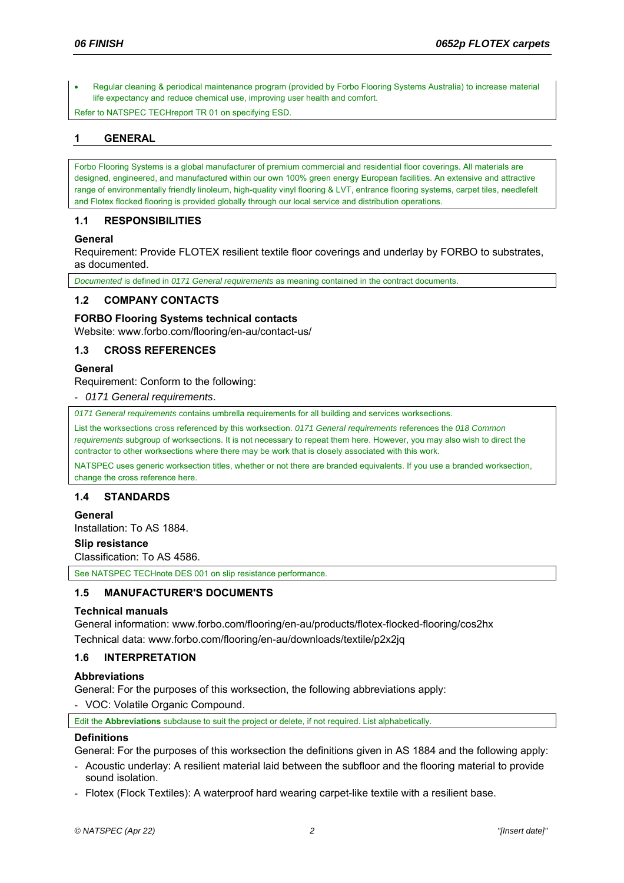Regular cleaning & periodical maintenance program (provided by Forbo Flooring Systems Australia) to increase material life expectancy and reduce chemical use, improving user health and comfort.

Refer to NATSPEC TECHreport TR 01 on specifying ESD.

# **1 GENERAL**

Forbo Flooring Systems is a global manufacturer of premium commercial and residential floor coverings. All materials are designed, engineered, and manufactured within our own 100% green energy European facilities. An extensive and attractive range of environmentally friendly linoleum, high-quality vinyl flooring & LVT, entrance flooring systems, carpet tiles, needlefelt and Flotex flocked flooring is provided globally through our local service and distribution operations.

### **1.1 RESPONSIBILITIES**

### **General**

Requirement: Provide FLOTEX resilient textile floor coverings and underlay by FORBO to substrates, as documented.

*Documented* is defined in *0171 General requirements* as meaning contained in the contract documents.

#### **1.2 COMPANY CONTACTS**

#### **FORBO Flooring Systems technical contacts**

Website: www.forbo.com/flooring/en-au/contact-us/

### **1.3 CROSS REFERENCES**

#### **General**

Requirement: Conform to the following:

- *0171 General requirements*.

*0171 General requirements* contains umbrella requirements for all building and services worksections.

List the worksections cross referenced by this worksection. *0171 General requirements* references the *018 Common requirements* subgroup of worksections. It is not necessary to repeat them here. However, you may also wish to direct the contractor to other worksections where there may be work that is closely associated with this work.

NATSPEC uses generic worksection titles, whether or not there are branded equivalents. If you use a branded worksection, change the cross reference here.

### **1.4 STANDARDS**

#### **General**

Installation: To AS 1884.

**Slip resistance** 

Classification: To AS 4586.

See NATSPEC TECHnote DES 001 on slip resistance performance.

## **1.5 MANUFACTURER'S DOCUMENTS**

#### **Technical manuals**

General information: www.forbo.com/flooring/en-au/products/flotex-flocked-flooring/cos2hx Technical data: www.forbo.com/flooring/en-au/downloads/textile/p2x2jq

### **1.6 INTERPRETATION**

#### **Abbreviations**

General: For the purposes of this worksection, the following abbreviations apply:

- VOC: Volatile Organic Compound.

Edit the **Abbreviations** subclause to suit the project or delete, if not required. List alphabetically.

### **Definitions**

General: For the purposes of this worksection the definitions given in AS 1884 and the following apply:

- Acoustic underlay: A resilient material laid between the subfloor and the flooring material to provide sound isolation.
- Flotex (Flock Textiles): A waterproof hard wearing carpet-like textile with a resilient base.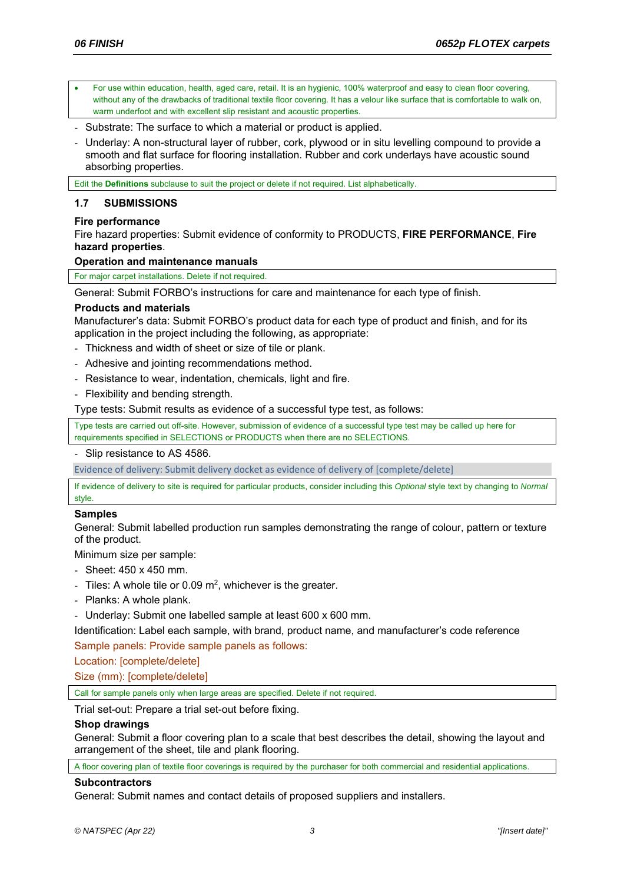- For use within education, health, aged care, retail. It is an hygienic, 100% waterproof and easy to clean floor covering, without any of the drawbacks of traditional textile floor covering. It has a velour like surface that is comfortable to walk on, warm underfoot and with excellent slip resistant and acoustic properties.
- Substrate: The surface to which a material or product is applied.
- Underlay: A non-structural layer of rubber, cork, plywood or in situ levelling compound to provide a smooth and flat surface for flooring installation. Rubber and cork underlays have acoustic sound absorbing properties.

Edit the **Definitions** subclause to suit the project or delete if not required. List alphabetically.

# **1.7 SUBMISSIONS**

# **Fire performance**

Fire hazard properties: Submit evidence of conformity to PRODUCTS, **FIRE PERFORMANCE**, **Fire hazard properties**.

## **Operation and maintenance manuals**

For major carpet installations. Delete if not required.

General: Submit FORBO's instructions for care and maintenance for each type of finish.

## **Products and materials**

Manufacturer's data: Submit FORBO's product data for each type of product and finish, and for its application in the project including the following, as appropriate:

- Thickness and width of sheet or size of tile or plank.
- Adhesive and jointing recommendations method.
- Resistance to wear, indentation, chemicals, light and fire.
- Flexibility and bending strength.

Type tests: Submit results as evidence of a successful type test, as follows:

Type tests are carried out off-site. However, submission of evidence of a successful type test may be called up here for requirements specified in SELECTIONS or PRODUCTS when there are no SELECTIONS.

- Slip resistance to AS 4586.

Evidence of delivery: Submit delivery docket as evidence of delivery of [complete/delete]

If evidence of delivery to site is required for particular products, consider including this *Optional* style text by changing to *Normal* style.

# **Samples**

General: Submit labelled production run samples demonstrating the range of colour, pattern or texture of the product.

Minimum size per sample:

- Sheet: 450 x 450 mm.
- Tiles: A whole tile or 0.09  $m^2$ , whichever is the greater.
- Planks: A whole plank.
- Underlay: Submit one labelled sample at least 600 x 600 mm.

Identification: Label each sample, with brand, product name, and manufacturer's code reference Sample panels: Provide sample panels as follows:

Location: [complete/delete]

Size (mm): [complete/delete]

Call for sample panels only when large areas are specified. Delete if not required.

Trial set-out: Prepare a trial set-out before fixing.

### **Shop drawings**

General: Submit a floor covering plan to a scale that best describes the detail, showing the layout and arrangement of the sheet, tile and plank flooring.

A floor covering plan of textile floor coverings is required by the purchaser for both commercial and residential applications.

### **Subcontractors**

General: Submit names and contact details of proposed suppliers and installers.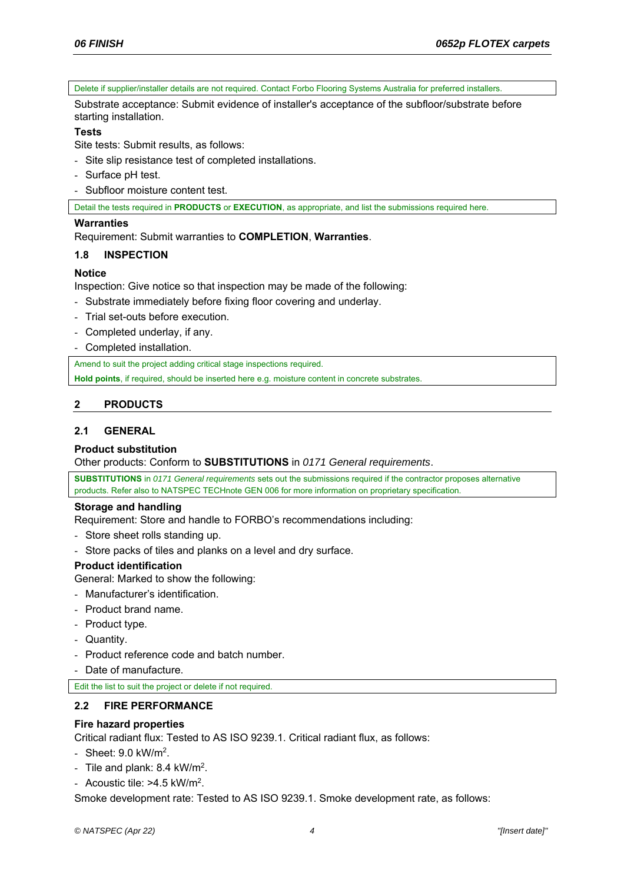Delete if supplier/installer details are not required. Contact Forbo Flooring Systems Australia for preferred installers.

Substrate acceptance: Submit evidence of installer's acceptance of the subfloor/substrate before starting installation.

## **Tests**

Site tests: Submit results, as follows:

- Site slip resistance test of completed installations.
- Surface pH test.
- Subfloor moisture content test.

Detail the tests required in **PRODUCTS** or **EXECUTION**, as appropriate, and list the submissions required here.

## **Warranties**

Requirement: Submit warranties to **COMPLETION**, **Warranties**.

# **1.8 INSPECTION**

## **Notice**

Inspection: Give notice so that inspection may be made of the following:

- Substrate immediately before fixing floor covering and underlay.
- Trial set-outs before execution.
- Completed underlay, if any.
- Completed installation.

Amend to suit the project adding critical stage inspections required.

**Hold points**, if required, should be inserted here e.g. moisture content in concrete substrates.

# **2 PRODUCTS**

# **2.1 GENERAL**

# **Product substitution**

Other products: Conform to **SUBSTITUTIONS** in *0171 General requirements*.

**SUBSTITUTIONS** in *0171 General requirements* sets out the submissions required if the contractor proposes alternative products. Refer also to NATSPEC TECHnote GEN 006 for more information on proprietary specification.

### **Storage and handling**

Requirement: Store and handle to FORBO's recommendations including:

- Store sheet rolls standing up.
- Store packs of tiles and planks on a level and dry surface.

# **Product identification**

General: Marked to show the following:

- Manufacturer's identification.
- Product brand name.
- Product type.
- Quantity.
- Product reference code and batch number.
- Date of manufacture.

Edit the list to suit the project or delete if not required.

# **2.2 FIRE PERFORMANCE**

### **Fire hazard properties**

Critical radiant flux: Tested to AS ISO 9239.1. Critical radiant flux, as follows:

- Sheet: 9.0 kW/m2.
- Tile and plank: 8.4 kW/m2.
- Acoustic tile: >4.5 kW/m<sup>2</sup>.

Smoke development rate: Tested to AS ISO 9239.1. Smoke development rate, as follows: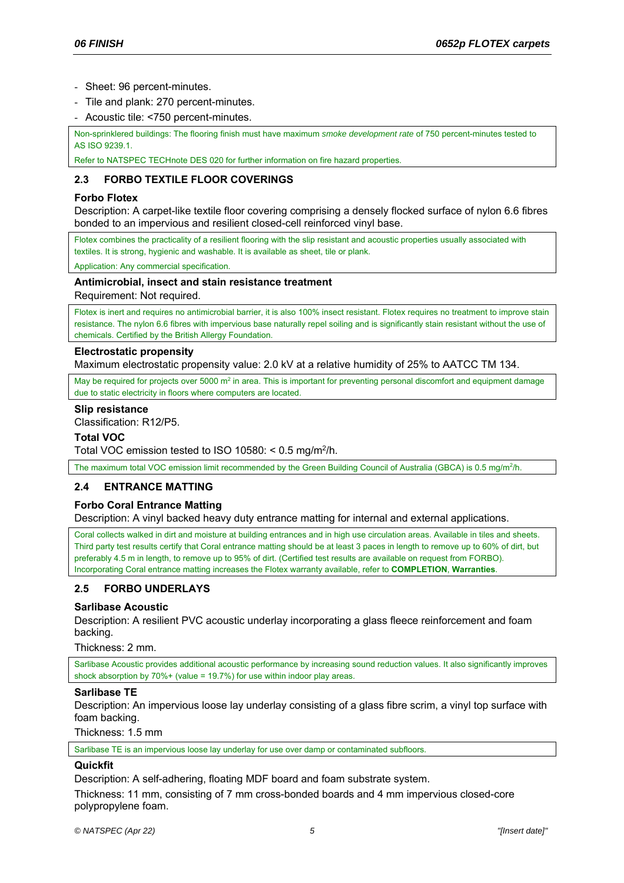- Sheet: 96 percent-minutes.
- Tile and plank: 270 percent-minutes.
- Acoustic tile: <750 percent-minutes.

Non-sprinklered buildings: The flooring finish must have maximum *smoke development rate* of 750 percent-minutes tested to AS ISO 9239.1.

Refer to NATSPEC TECHnote DES 020 for further information on fire hazard properties.

# **2.3 FORBO TEXTILE FLOOR COVERINGS**

## **Forbo Flotex**

Description: A carpet-like textile floor covering comprising a densely flocked surface of nylon 6.6 fibres bonded to an impervious and resilient closed-cell reinforced vinyl base.

Flotex combines the practicality of a resilient flooring with the slip resistant and acoustic properties usually associated with textiles. It is strong, hygienic and washable. It is available as sheet, tile or plank.

Application: Any commercial specification.

### **Antimicrobial, insect and stain resistance treatment**

Requirement: Not required.

Flotex is inert and requires no antimicrobial barrier, it is also 100% insect resistant. Flotex requires no treatment to improve stain resistance. The nylon 6.6 fibres with impervious base naturally repel soiling and is significantly stain resistant without the use of chemicals. Certified by the British Allergy Foundation.

## **Electrostatic propensity**

Maximum electrostatic propensity value: 2.0 kV at a relative humidity of 25% to AATCC TM 134.

May be required for projects over 5000 m<sup>2</sup> in area. This is important for preventing personal discomfort and equipment damage due to static electricity in floors where computers are located.

### **Slip resistance**

Classification: R12/P5.

#### **Total VOC**

Total VOC emission tested to ISO 10580:  $<$  0.5 mg/m<sup>2</sup>/h.

The maximum total VOC emission limit recommended by the Green Building Council of Australia (GBCA) is 0.5 mg/m<sup>2</sup>/h.

# **2.4 ENTRANCE MATTING**

### **Forbo Coral Entrance Matting**

Description: A vinyl backed heavy duty entrance matting for internal and external applications.

Coral collects walked in dirt and moisture at building entrances and in high use circulation areas. Available in tiles and sheets. Third party test results certify that Coral entrance matting should be at least 3 paces in length to remove up to 60% of dirt, but preferably 4.5 m in length, to remove up to 95% of dirt. (Certified test results are available on request from FORBO). Incorporating Coral entrance matting increases the Flotex warranty available, refer to **COMPLETION**, **Warranties**.

# **2.5 FORBO UNDERLAYS**

### **Sarlibase Acoustic**

Description: A resilient PVC acoustic underlay incorporating a glass fleece reinforcement and foam backing.

Thickness: 2 mm.

Sarlibase Acoustic provides additional acoustic performance by increasing sound reduction values. It also significantly improves shock absorption by  $70\%$ + (value = 19.7%) for use within indoor play areas.

### **Sarlibase TE**

Description: An impervious loose lay underlay consisting of a glass fibre scrim, a vinyl top surface with foam backing.

Thickness: 1.5 mm

Sarlibase TE is an impervious loose lay underlay for use over damp or contaminated subfloors.

### **Quickfit**

Description: A self-adhering, floating MDF board and foam substrate system.

Thickness: 11 mm, consisting of 7 mm cross-bonded boards and 4 mm impervious closed-core polypropylene foam.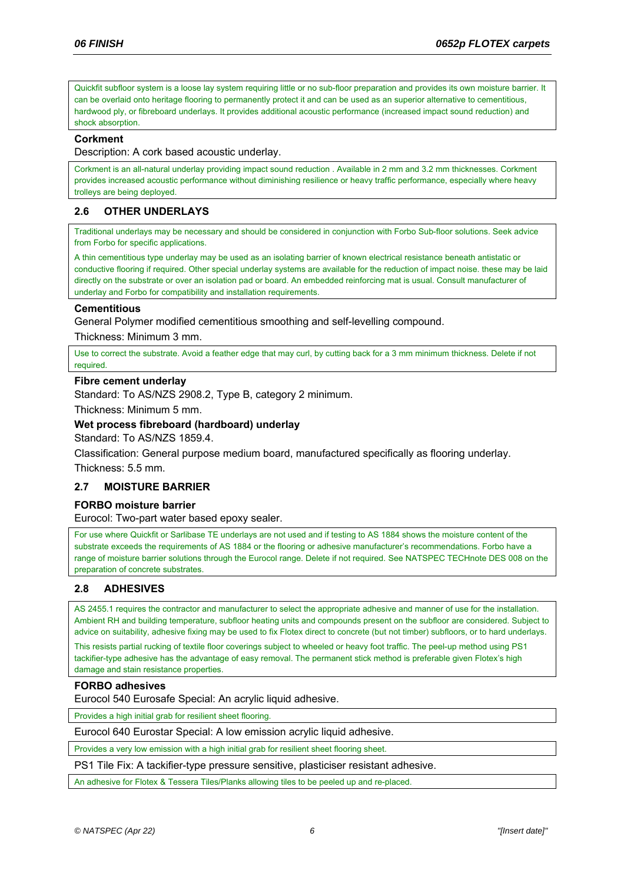Quickfit subfloor system is a loose lay system requiring little or no sub-floor preparation and provides its own moisture barrier. It can be overlaid onto heritage flooring to permanently protect it and can be used as an superior alternative to cementitious, hardwood ply, or fibreboard underlays. It provides additional acoustic performance (increased impact sound reduction) and shock absorption.

### **Corkment**

Description: A cork based acoustic underlay.

Corkment is an all-natural underlay providing impact sound reduction . Available in 2 mm and 3.2 mm thicknesses. Corkment provides increased acoustic performance without diminishing resilience or heavy traffic performance, especially where heavy trolleys are being deployed.

## **2.6 OTHER UNDERLAYS**

Traditional underlays may be necessary and should be considered in conjunction with Forbo Sub-floor solutions. Seek advice from Forbo for specific applications.

A thin cementitious type underlay may be used as an isolating barrier of known electrical resistance beneath antistatic or conductive flooring if required. Other special underlay systems are available for the reduction of impact noise. these may be laid directly on the substrate or over an isolation pad or board. An embedded reinforcing mat is usual. Consult manufacturer of underlay and Forbo for compatibility and installation requirements.

#### **Cementitious**

General Polymer modified cementitious smoothing and self-levelling compound.

Thickness: Minimum 3 mm.

Use to correct the substrate. Avoid a feather edge that may curl, by cutting back for a 3 mm minimum thickness. Delete if not required.

#### **Fibre cement underlay**

Standard: To AS/NZS 2908.2, Type B, category 2 minimum.

Thickness: Minimum 5 mm.

### **Wet process fibreboard (hardboard) underlay**

Standard: To AS/NZS 1859.4.

Classification: General purpose medium board, manufactured specifically as flooring underlay. Thickness: 5.5 mm.

### **2.7 MOISTURE BARRIER**

#### **FORBO moisture barrier**

Eurocol: Two-part water based epoxy sealer.

For use where Quickfit or Sarlibase TE underlays are not used and if testing to AS 1884 shows the moisture content of the substrate exceeds the requirements of AS 1884 or the flooring or adhesive manufacturer's recommendations. Forbo have a range of moisture barrier solutions through the Eurocol range. Delete if not required. See NATSPEC TECHnote DES 008 on the preparation of concrete substrates.

### **2.8 ADHESIVES**

AS 2455.1 requires the contractor and manufacturer to select the appropriate adhesive and manner of use for the installation. Ambient RH and building temperature, subfloor heating units and compounds present on the subfloor are considered. Subject to advice on suitability, adhesive fixing may be used to fix Flotex direct to concrete (but not timber) subfloors, or to hard underlays. This resists partial rucking of textile floor coverings subject to wheeled or heavy foot traffic. The peel-up method using PS1 tackifier-type adhesive has the advantage of easy removal. The permanent stick method is preferable given Flotex's high damage and stain resistance properties.

#### **FORBO adhesives**

Eurocol 540 Eurosafe Special: An acrylic liquid adhesive.

Provides a high initial grab for resilient sheet flooring.

Eurocol 640 Eurostar Special: A low emission acrylic liquid adhesive.

Provides a very low emission with a high initial grab for resilient sheet flooring sheet.

PS1 Tile Fix: A tackifier-type pressure sensitive, plasticiser resistant adhesive.

An adhesive for Flotex & Tessera Tiles/Planks allowing tiles to be peeled up and re-placed.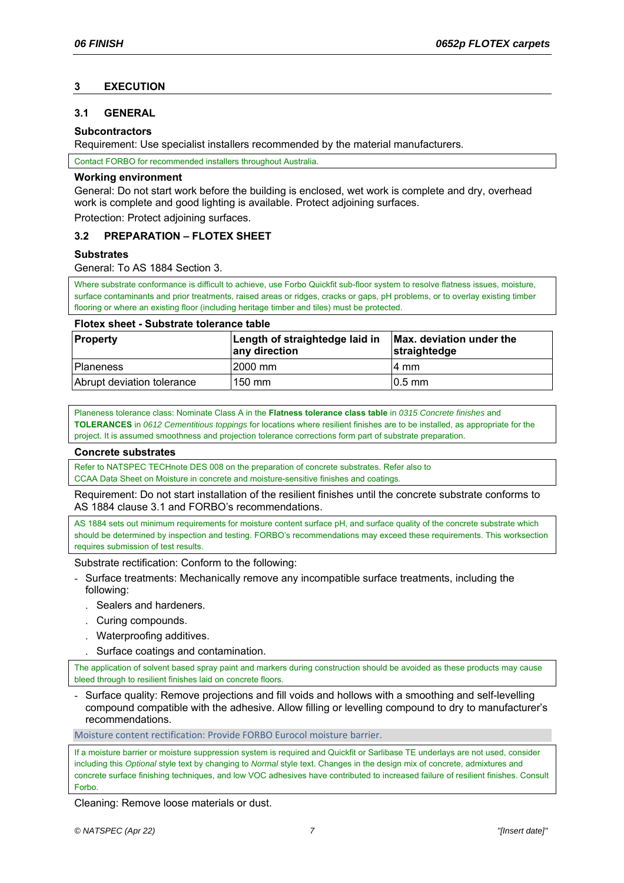# **3 EXECUTION**

## **3.1 GENERAL**

### **Subcontractors**

Requirement: Use specialist installers recommended by the material manufacturers.

Contact FORBO for recommended installers throughout Australia.

#### **Working environment**

General: Do not start work before the building is enclosed, wet work is complete and dry, overhead work is complete and good lighting is available. Protect adjoining surfaces.

Protection: Protect adjoining surfaces.

## **3.2 PREPARATION – FLOTEX SHEET**

### **Substrates**

General: To AS 1884 Section 3.

Where substrate conformance is difficult to achieve, use Forbo Quickfit sub-floor system to resolve flatness issues, moisture, surface contaminants and prior treatments, raised areas or ridges, cracks or gaps, pH problems, or to overlay existing timber flooring or where an existing floor (including heritage timber and tiles) must be protected.

### **Flotex sheet - Substrate tolerance table**

| <b>Property</b>            | Length of straightedge laid in<br>any direction | Max. deviation under the<br>straightedge |
|----------------------------|-------------------------------------------------|------------------------------------------|
| <b>Planeness</b>           | 2000 mm                                         | I4 mm                                    |
| Abrupt deviation tolerance | 150 mm                                          | $10.5$ mm                                |

Planeness tolerance class: Nominate Class A in the **Flatness tolerance class table** in *0315 Concrete finishes* and **TOLERANCES** in *0612 Cementitious toppings* for locations where resilient finishes are to be installed, as appropriate for the project. It is assumed smoothness and projection tolerance corrections form part of substrate preparation.

### **Concrete substrates**

Refer to NATSPEC TECHnote DES 008 on the preparation of concrete substrates. Refer also to CCAA Data Sheet on Moisture in concrete and moisture-sensitive finishes and coatings*.*

Requirement: Do not start installation of the resilient finishes until the concrete substrate conforms to AS 1884 clause 3.1 and FORBO's recommendations.

AS 1884 sets out minimum requirements for moisture content surface pH, and surface quality of the concrete substrate which should be determined by inspection and testing. FORBO's recommendations may exceed these requirements. This worksection requires submission of test results.

Substrate rectification: Conform to the following:

- Surface treatments: Mechanically remove any incompatible surface treatments, including the following:
	- . Sealers and hardeners.
	- . Curing compounds.
	- . Waterproofing additives.
	- . Surface coatings and contamination.

The application of solvent based spray paint and markers during construction should be avoided as these products may cause bleed through to resilient finishes laid on concrete floors.

- Surface quality: Remove projections and fill voids and hollows with a smoothing and self-levelling compound compatible with the adhesive. Allow filling or levelling compound to dry to manufacturer's recommendations.

Moisture content rectification: Provide FORBO Eurocol moisture barrier.

If a moisture barrier or moisture suppression system is required and Quickfit or Sarlibase TE underlays are not used, consider including this *Optional* style text by changing to *Normal* style text. Changes in the design mix of concrete, admixtures and concrete surface finishing techniques, and low VOC adhesives have contributed to increased failure of resilient finishes. Consult Forbo.

Cleaning: Remove loose materials or dust.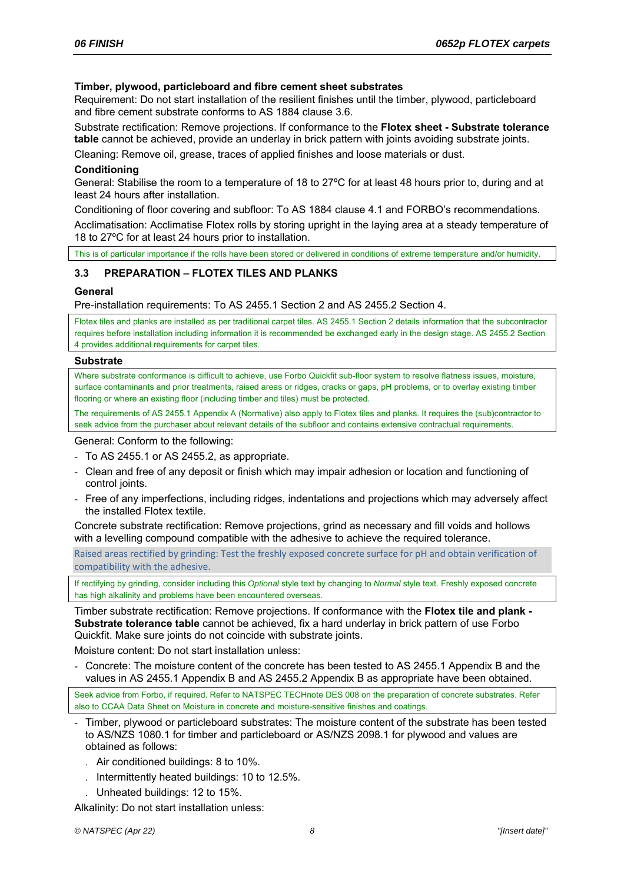### **Timber, plywood, particleboard and fibre cement sheet substrates**

Requirement: Do not start installation of the resilient finishes until the timber, plywood, particleboard and fibre cement substrate conforms to AS 1884 clause 3.6.

Substrate rectification: Remove projections. If conformance to the **Flotex sheet - Substrate tolerance table** cannot be achieved, provide an underlay in brick pattern with joints avoiding substrate joints.

Cleaning: Remove oil, grease, traces of applied finishes and loose materials or dust.

#### **Conditioning**

General: Stabilise the room to a temperature of 18 to 27ºC for at least 48 hours prior to, during and at least 24 hours after installation.

Conditioning of floor covering and subfloor: To AS 1884 clause 4.1 and FORBO's recommendations.

Acclimatisation: Acclimatise Flotex rolls by storing upright in the laying area at a steady temperature of 18 to 27ºC for at least 24 hours prior to installation.

This is of particular importance if the rolls have been stored or delivered in conditions of extreme temperature and/or humidity.

## **3.3 PREPARATION – FLOTEX TILES AND PLANKS**

#### **General**

Pre-installation requirements: To AS 2455.1 Section 2 and AS 2455.2 Section 4.

Flotex tiles and planks are installed as per traditional carpet tiles. AS 2455.1 Section 2 details information that the subcontractor requires before installation including information it is recommended be exchanged early in the design stage. AS 2455.2 Section 4 provides additional requirements for carpet tiles.

#### **Substrate**

Where substrate conformance is difficult to achieve, use Forbo Quickfit sub-floor system to resolve flatness issues, moisture, surface contaminants and prior treatments, raised areas or ridges, cracks or gaps, pH problems, or to overlay existing timber flooring or where an existing floor (including timber and tiles) must be protected.

The requirements of AS 2455.1 Appendix A (Normative) also apply to Flotex tiles and planks. It requires the (sub)contractor to seek advice from the purchaser about relevant details of the subfloor and contains extensive contractual requirements.

General: Conform to the following:

- To AS 2455.1 or AS 2455.2, as appropriate.
- Clean and free of any deposit or finish which may impair adhesion or location and functioning of control joints.
- Free of any imperfections, including ridges, indentations and projections which may adversely affect the installed Flotex textile.

Concrete substrate rectification: Remove projections, grind as necessary and fill voids and hollows with a levelling compound compatible with the adhesive to achieve the required tolerance.

Raised areas rectified by grinding: Test the freshly exposed concrete surface for pH and obtain verification of compatibility with the adhesive.

If rectifying by grinding, consider including this *Optional* style text by changing to *Normal* style text. Freshly exposed concrete has high alkalinity and problems have been encountered overseas.

Timber substrate rectification: Remove projections. If conformance with the **Flotex tile and plank - Substrate tolerance table** cannot be achieved, fix a hard underlay in brick pattern of use Forbo Quickfit. Make sure joints do not coincide with substrate joints.

Moisture content: Do not start installation unless:

- Concrete: The moisture content of the concrete has been tested to AS 2455.1 Appendix B and the values in AS 2455.1 Appendix B and AS 2455.2 Appendix B as appropriate have been obtained.

Seek advice from Forbo, if required. Refer to NATSPEC TECHnote DES 008 on the preparation of concrete substrates. Refer also to CCAA Data Sheet on Moisture in concrete and moisture-sensitive finishes and coatings.

- Timber, plywood or particleboard substrates: The moisture content of the substrate has been tested to AS/NZS 1080.1 for timber and particleboard or AS/NZS 2098.1 for plywood and values are obtained as follows:
	- . Air conditioned buildings: 8 to 10%.
	- . Intermittently heated buildings: 10 to 12.5%.
	- . Unheated buildings: 12 to 15%.

Alkalinity: Do not start installation unless: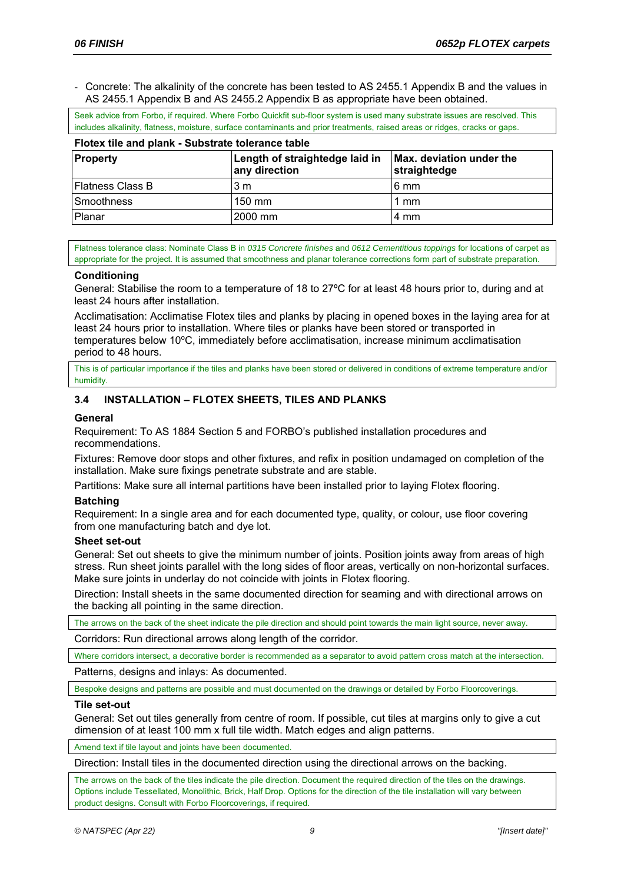- Concrete: The alkalinity of the concrete has been tested to AS 2455.1 Appendix B and the values in AS 2455.1 Appendix B and AS 2455.2 Appendix B as appropriate have been obtained.

Seek advice from Forbo, if required. Where Forbo Quickfit sub-floor system is used many substrate issues are resolved. This includes alkalinity, flatness, moisture, surface contaminants and prior treatments, raised areas or ridges, cracks or gaps.

| Flotex tile and plank - Substrate tolerance table |                                                 |                                          |  |
|---------------------------------------------------|-------------------------------------------------|------------------------------------------|--|
| <b>Property</b>                                   | Length of straightedge laid in<br>any direction | Max. deviation under the<br>straightedge |  |
| <b>Flatness Class B</b>                           | 3 m                                             | 16 mm                                    |  |
| <b>Smoothness</b>                                 | $150 \text{ mm}$                                | 1 mm                                     |  |
| <b>Planar</b>                                     | l2000 mm                                        | 4 mm                                     |  |

Flatness tolerance class: Nominate Class B in *0315 Concrete finishes* and *0612 Cementitious toppings* for locations of carpet as appropriate for the project. It is assumed that smoothness and planar tolerance corrections form part of substrate preparation.

#### **Conditioning**

General: Stabilise the room to a temperature of 18 to 27ºC for at least 48 hours prior to, during and at least 24 hours after installation.

Acclimatisation: Acclimatise Flotex tiles and planks by placing in opened boxes in the laying area for at least 24 hours prior to installation. Where tiles or planks have been stored or transported in temperatures below 10°C, immediately before acclimatisation, increase minimum acclimatisation period to 48 hours.

This is of particular importance if the tiles and planks have been stored or delivered in conditions of extreme temperature and/or humidity.

## **3.4 INSTALLATION – FLOTEX SHEETS, TILES AND PLANKS**

**Flotex tile and plank - Substrate tolerance table** 

#### **General**

Requirement: To AS 1884 Section 5 and FORBO's published installation procedures and recommendations.

Fixtures: Remove door stops and other fixtures, and refix in position undamaged on completion of the installation. Make sure fixings penetrate substrate and are stable.

Partitions: Make sure all internal partitions have been installed prior to laying Flotex flooring.

### **Batching**

Requirement: In a single area and for each documented type, quality, or colour, use floor covering from one manufacturing batch and dye lot.

#### **Sheet set-out**

General: Set out sheets to give the minimum number of joints. Position joints away from areas of high stress. Run sheet joints parallel with the long sides of floor areas, vertically on non-horizontal surfaces. Make sure joints in underlay do not coincide with joints in Flotex flooring.

Direction: Install sheets in the same documented direction for seaming and with directional arrows on the backing all pointing in the same direction.

The arrows on the back of the sheet indicate the pile direction and should point towards the main light source, never away.

Corridors: Run directional arrows along length of the corridor.

Where corridors intersect, a decorative border is recommended as a separator to avoid pattern cross match at the intersection.

Patterns, designs and inlays: As documented.

Bespoke designs and patterns are possible and must documented on the drawings or detailed by Forbo Floorcoverings.

#### **Tile set-out**

General: Set out tiles generally from centre of room. If possible, cut tiles at margins only to give a cut dimension of at least 100 mm x full tile width. Match edges and align patterns.

Amend text if tile layout and joints have been documented.

Direction: Install tiles in the documented direction using the directional arrows on the backing.

The arrows on the back of the tiles indicate the pile direction. Document the required direction of the tiles on the drawings. Options include Tessellated, Monolithic, Brick, Half Drop. Options for the direction of the tile installation will vary between product designs. Consult with Forbo Floorcoverings, if required.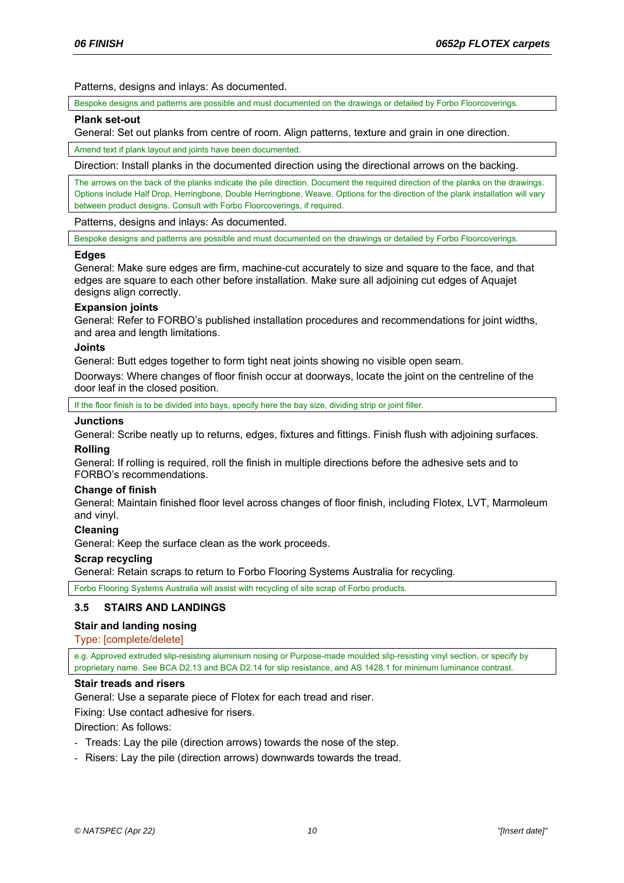Patterns, designs and inlays: As documented.

Bespoke designs and patterns are possible and must documented on the drawings or detailed by Forbo Floorcoverings.

#### **Plank set-out**

General: Set out planks from centre of room. Align patterns, texture and grain in one direction.

Amend text if plank layout and joints have been documented.

Direction: Install planks in the documented direction using the directional arrows on the backing.

The arrows on the back of the planks indicate the pile direction. Document the required direction of the planks on the drawings. Options include Half Drop, Herringbone, Double Herringbone, Weave. Options for the direction of the plank installation will vary between product designs. Consult with Forbo Floorcoverings, if required.

Patterns, designs and inlays: As documented.

Bespoke designs and patterns are possible and must documented on the drawings or detailed by Forbo Floorcoverings.

### **Edges**

General: Make sure edges are firm, machine-cut accurately to size and square to the face, and that edges are square to each other before installation. Make sure all adjoining cut edges of Aquajet designs align correctly.

### **Expansion joints**

General: Refer to FORBO's published installation procedures and recommendations for joint widths, and area and length limitations.

## **Joints**

General: Butt edges together to form tight neat joints showing no visible open seam.

Doorways: Where changes of floor finish occur at doorways, locate the joint on the centreline of the door leaf in the closed position.

If the floor finish is to be divided into bays, specify here the bay size, dividing strip or joint filler

### **Junctions**

General: Scribe neatly up to returns, edges, fixtures and fittings. Finish flush with adjoining surfaces.

# **Rolling**

General: If rolling is required, roll the finish in multiple directions before the adhesive sets and to FORBO's recommendations.

### **Change of finish**

General: Maintain finished floor level across changes of floor finish, including Flotex, LVT, Marmoleum and vinyl.

# **Cleaning**

General: Keep the surface clean as the work proceeds.

### **Scrap recycling**

General: Retain scraps to return to Forbo Flooring Systems Australia for recycling.

Forbo Flooring Systems Australia will assist with recycling of site scrap of Forbo products.

# **3.5 STAIRS AND LANDINGS**

# **Stair and landing nosing**

### Type: [complete/delete]

e.g. Approved extruded slip-resisting aluminium nosing or Purpose-made moulded slip-resisting vinyl section, or specify by proprietary name. See BCA D2.13 and BCA D2.14 for slip resistance, and AS 1428.1 for minimum luminance contrast.

### **Stair treads and risers**

General: Use a separate piece of Flotex for each tread and riser.

Fixing: Use contact adhesive for risers.

Direction: As follows:

- Treads: Lay the pile (direction arrows) towards the nose of the step.
- Risers: Lay the pile (direction arrows) downwards towards the tread.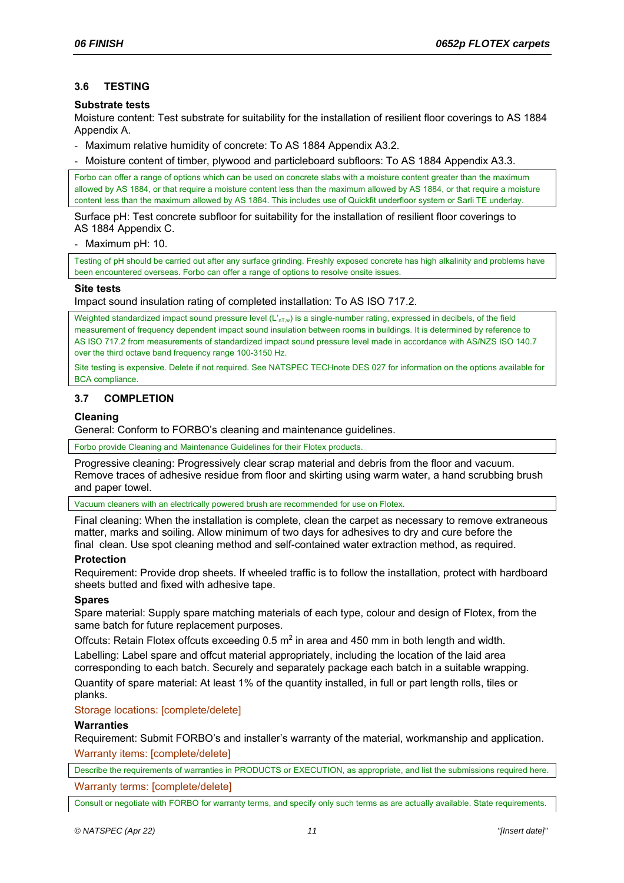# **3.6 TESTING**

### **Substrate tests**

Moisture content: Test substrate for suitability for the installation of resilient floor coverings to AS 1884 Appendix A.

- Maximum relative humidity of concrete: To AS 1884 Appendix A3.2.

- Moisture content of timber, plywood and particleboard subfloors: To AS 1884 Appendix A3.3.

Forbo can offer a range of options which can be used on concrete slabs with a moisture content greater than the maximum allowed by AS 1884, or that require a moisture content less than the maximum allowed by AS 1884, or that require a moisture content less than the maximum allowed by AS 1884. This includes use of Quickfit underfloor system or Sarli TE underlay.

Surface pH: Test concrete subfloor for suitability for the installation of resilient floor coverings to AS 1884 Appendix C.

- Maximum pH: 10.

Testing of pH should be carried out after any surface grinding. Freshly exposed concrete has high alkalinity and problems have been encountered overseas. Forbo can offer a range of options to resolve onsite issues.

#### **Site tests**

Impact sound insulation rating of completed installation: To AS ISO 717.2.

Weighted standardized impact sound pressure level (L'<sub>nT,w</sub>) is a single-number rating, expressed in decibels, of the field measurement of frequency dependent impact sound insulation between rooms in buildings. It is determined by reference to AS ISO 717.2 from measurements of standardized impact sound pressure level made in accordance with AS/NZS ISO 140.7 over the third octave band frequency range 100-3150 Hz.

Site testing is expensive. Delete if not required. See NATSPEC TECHnote DES 027 for information on the options available for BCA compliance.

## **3.7 COMPLETION**

### **Cleaning**

General: Conform to FORBO's cleaning and maintenance guidelines.

Forbo provide Cleaning and Maintenance Guidelines for their Flotex products.

Progressive cleaning: Progressively clear scrap material and debris from the floor and vacuum. Remove traces of adhesive residue from floor and skirting using warm water, a hand scrubbing brush and paper towel.

Vacuum cleaners with an electrically powered brush are recommended for use on Flotex.

Final cleaning: When the installation is complete, clean the carpet as necessary to remove extraneous matter, marks and soiling. Allow minimum of two days for adhesives to dry and cure before the final clean. Use spot cleaning method and self-contained water extraction method, as required.

### **Protection**

Requirement: Provide drop sheets. If wheeled traffic is to follow the installation, protect with hardboard sheets butted and fixed with adhesive tape.

### **Spares**

Spare material: Supply spare matching materials of each type, colour and design of Flotex, from the same batch for future replacement purposes.

Offcuts: Retain Flotex offcuts exceeding  $0.5$  m<sup>2</sup> in area and 450 mm in both length and width. Labelling: Label spare and offcut material appropriately, including the location of the laid area corresponding to each batch. Securely and separately package each batch in a suitable wrapping. Quantity of spare material: At least 1% of the quantity installed, in full or part length rolls, tiles or planks.

### Storage locations: [complete/delete]

### **Warranties**

Requirement: Submit FORBO's and installer's warranty of the material, workmanship and application. Warranty items: [complete/delete]

Describe the requirements of warranties in PRODUCTS or EXECUTION, as appropriate, and list the submissions required here. Warranty terms: [complete/delete]

Consult or negotiate with FORBO for warranty terms, and specify only such terms as are actually available. State requirements.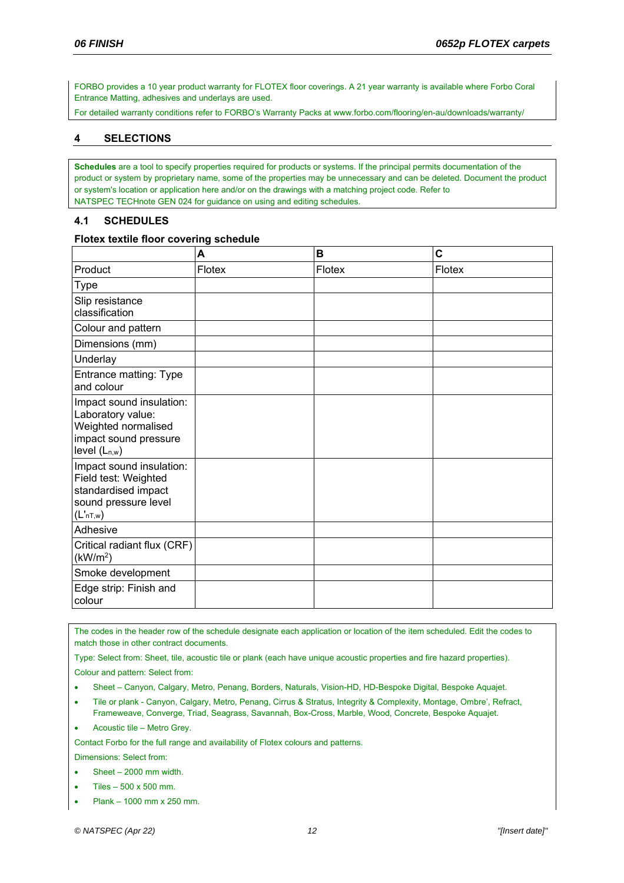FORBO provides a 10 year product warranty for FLOTEX floor coverings. A 21 year warranty is available where Forbo Coral Entrance Matting, adhesives and underlays are used.

For detailed warranty conditions refer to FORBO's Warranty Packs at www.forbo.com/flooring/en-au/downloads/warranty/

# **4 SELECTIONS**

**Schedules** are a tool to specify properties required for products or systems. If the principal permits documentation of the product or system by proprietary name, some of the properties may be unnecessary and can be deleted. Document the product or system's location or application here and/or on the drawings with a matching project code. Refer to NATSPEC TECHnote GEN 024 for guidance on using and editing schedules.

## **4.1 SCHEDULES**

#### **Flotex textile floor covering schedule**

|                                                                                                                         | A      | B      | C      |
|-------------------------------------------------------------------------------------------------------------------------|--------|--------|--------|
| Product                                                                                                                 | Flotex | Flotex | Flotex |
| Type                                                                                                                    |        |        |        |
| Slip resistance<br>classification                                                                                       |        |        |        |
| Colour and pattern                                                                                                      |        |        |        |
| Dimensions (mm)                                                                                                         |        |        |        |
| Underlay                                                                                                                |        |        |        |
| Entrance matting: Type<br>and colour                                                                                    |        |        |        |
| Impact sound insulation:<br>Laboratory value:<br>Weighted normalised<br>impact sound pressure<br>level $(L_{n,w})$      |        |        |        |
| Impact sound insulation:<br>Field test: Weighted<br>standardised impact<br>sound pressure level<br>(L <sub>nT,w</sub> ) |        |        |        |
| Adhesive                                                                                                                |        |        |        |
| Critical radiant flux (CRF)<br>(kW/m <sup>2</sup> )                                                                     |        |        |        |
| Smoke development                                                                                                       |        |        |        |
| Edge strip: Finish and<br>colour                                                                                        |        |        |        |

The codes in the header row of the schedule designate each application or location of the item scheduled. Edit the codes to match those in other contract documents.

Type: Select from: Sheet, tile, acoustic tile or plank (each have unique acoustic properties and fire hazard properties).

Colour and pattern: Select from:

- Sheet Canyon, Calgary, Metro, Penang, Borders, Naturals, Vision-HD, HD-Bespoke Digital, Bespoke Aquajet.
- Tile or plank Canyon, Calgary, Metro, Penang, Cirrus & Stratus, Integrity & Complexity, Montage, Ombre', Refract, Frameweave, Converge, Triad, Seagrass, Savannah, Box-Cross, Marble, Wood, Concrete, Bespoke Aquajet.
- Acoustic tile Metro Grey.

Contact Forbo for the full range and availability of Flotex colours and patterns.

Dimensions: Select from:

- Sheet 2000 mm width.
- Tiles 500 x 500 mm.
- Plank 1000 mm x 250 mm.

*© NATSPEC (Apr 22) 12 "[Insert date]"*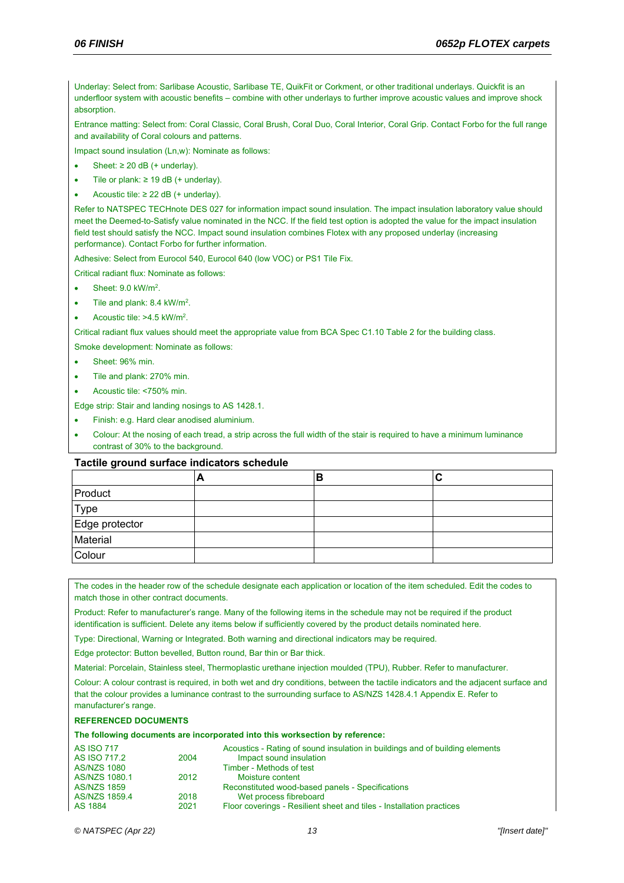Underlay: Select from: Sarlibase Acoustic, Sarlibase TE, QuikFit or Corkment, or other traditional underlays. Quickfit is an underfloor system with acoustic benefits – combine with other underlays to further improve acoustic values and improve shock absorption.

Entrance matting: Select from: Coral Classic, Coral Brush, Coral Duo, Coral Interior, Coral Grip. Contact Forbo for the full range and availability of Coral colours and patterns.

Impact sound insulation (Ln,w): Nominate as follows:

- Sheet:  $\geq 20$  dB (+ underlay).
- Tile or plank:  $≥ 19$  dB (+ underlay).
- Acoustic tile:  $\geq$  22 dB (+ underlay).

Refer to NATSPEC TECHnote DES 027 for information impact sound insulation. The impact insulation laboratory value should meet the Deemed-to-Satisfy value nominated in the NCC. If the field test option is adopted the value for the impact insulation field test should satisfy the NCC. Impact sound insulation combines Flotex with any proposed underlay (increasing performance). Contact Forbo for further information.

Adhesive: Select from Eurocol 540, Eurocol 640 (low VOC) or PS1 Tile Fix.

Critical radiant flux: Nominate as follows:

- $\bullet$  Sheet: 9.0 kW/m<sup>2</sup>.
- $\bullet$  Tile and plank: 8.4 kW/m<sup>2</sup>.
- Acoustic tile:  $>4.5$  kW/m<sup>2</sup>.

Critical radiant flux values should meet the appropriate value from BCA Spec C1.10 Table 2 for the building class.

Smoke development: Nominate as follows:

- Sheet: 96% min.
- Tile and plank: 270% min.
- Acoustic tile: <750% min.

Edge strip: Stair and landing nosings to AS 1428.1.

- Finish: e.g. Hard clear anodised aluminium.
- Colour: At the nosing of each tread, a strip across the full width of the stair is required to have a minimum luminance contrast of 30% to the background.

#### **Tactile ground surface indicators schedule**

|                | − | в |  |
|----------------|---|---|--|
| Product        |   |   |  |
| Type           |   |   |  |
| Edge protector |   |   |  |
| Material       |   |   |  |
| Colour         |   |   |  |

The codes in the header row of the schedule designate each application or location of the item scheduled. Edit the codes to match those in other contract documents.

Product: Refer to manufacturer's range. Many of the following items in the schedule may not be required if the product identification is sufficient. Delete any items below if sufficiently covered by the product details nominated here.

Type: Directional, Warning or Integrated. Both warning and directional indicators may be required.

Edge protector: Button bevelled, Button round, Bar thin or Bar thick.

Material: Porcelain, Stainless steel, Thermoplastic urethane injection moulded (TPU), Rubber. Refer to manufacturer.

Colour: A colour contrast is required, in both wet and dry conditions, between the tactile indicators and the adjacent surface and that the colour provides a luminance contrast to the surrounding surface to AS/NZS 1428.4.1 Appendix E. Refer to manufacturer's range.

#### **REFERENCED DOCUMENTS**

#### **The following documents are incorporated into this worksection by reference:**

| <b>AS ISO 717</b>  |      | Acoustics - Rating of sound insulation in buildings and of building elements |
|--------------------|------|------------------------------------------------------------------------------|
| AS ISO 717.2       | 2004 | Impact sound insulation                                                      |
| <b>AS/NZS 1080</b> |      | Timber - Methods of test                                                     |
| AS/NZS 1080.1      | 2012 | Moisture content                                                             |
| <b>AS/NZS 1859</b> |      | Reconstituted wood-based panels - Specifications                             |
| AS/NZS 1859.4      | 2018 | Wet process fibreboard                                                       |
| AS 1884            | 2021 | Floor coverings - Resilient sheet and tiles - Installation practices         |